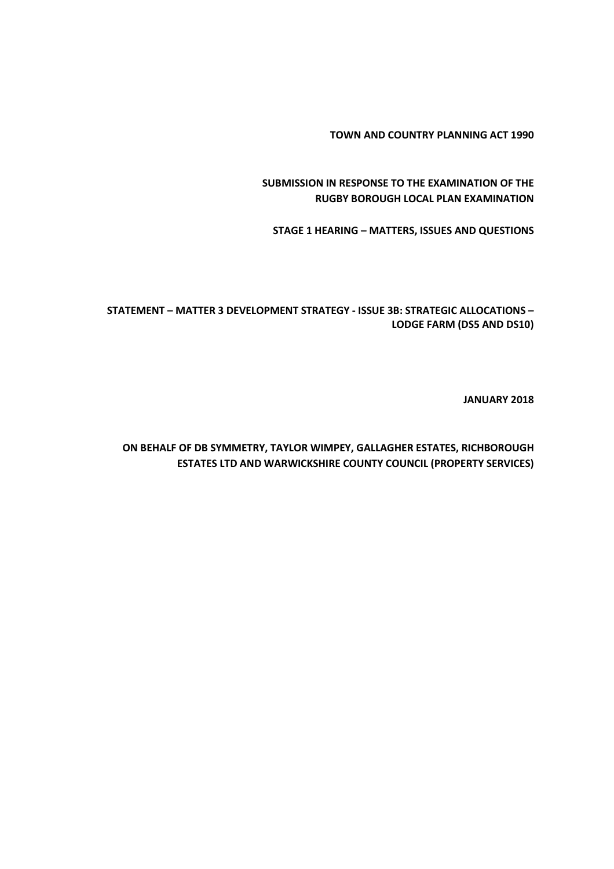**TOWN AND COUNTRY PLANNING ACT 1990**

**SUBMISSION IN RESPONSE TO THE EXAMINATION OF THE RUGBY BOROUGH LOCAL PLAN EXAMINATION**

**STAGE 1 HEARING – MATTERS, ISSUES AND QUESTIONS**

**STATEMENT – MATTER 3 DEVELOPMENT STRATEGY - ISSUE 3B: STRATEGIC ALLOCATIONS – LODGE FARM (DS5 AND DS10)**

**JANUARY 2018**

**ON BEHALF OF DB SYMMETRY, TAYLOR WIMPEY, GALLAGHER ESTATES, RICHBOROUGH ESTATES LTD AND WARWICKSHIRE COUNTY COUNCIL (PROPERTY SERVICES)**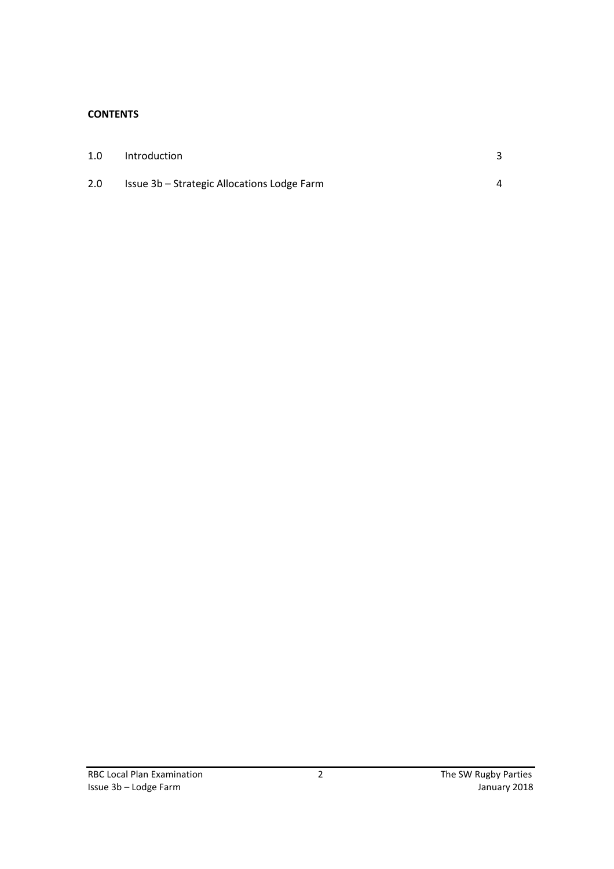## **CONTENTS**

| 1.0 | Introduction                                |   |
|-----|---------------------------------------------|---|
| 2.0 | Issue 3b – Strategic Allocations Lodge Farm | Δ |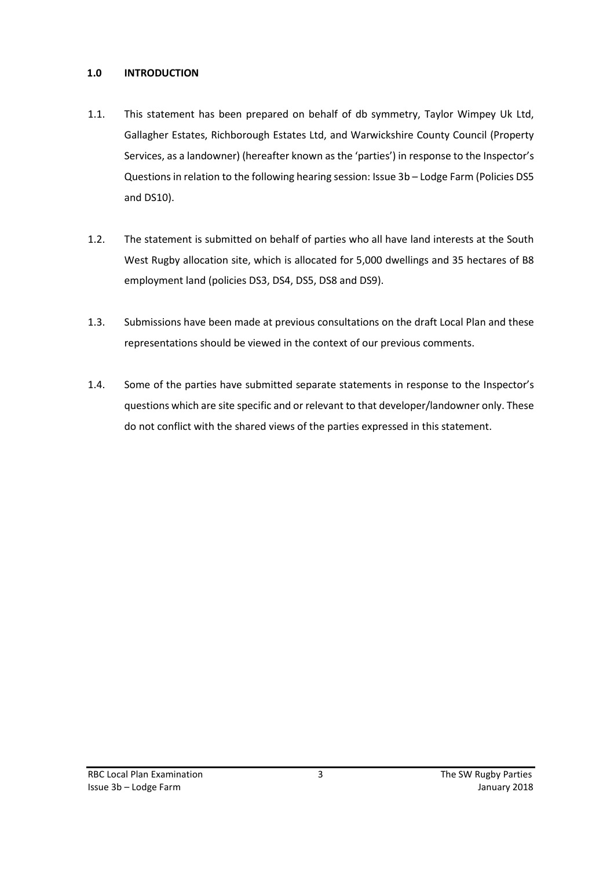## **1.0 INTRODUCTION**

- 1.1. This statement has been prepared on behalf of db symmetry, Taylor Wimpey Uk Ltd, Gallagher Estates, Richborough Estates Ltd, and Warwickshire County Council (Property Services, as a landowner) (hereafter known as the 'parties') in response to the Inspector's Questions in relation to the following hearing session: Issue 3b – Lodge Farm (Policies DS5 and DS10).
- 1.2. The statement is submitted on behalf of parties who all have land interests at the South West Rugby allocation site, which is allocated for 5,000 dwellings and 35 hectares of B8 employment land (policies DS3, DS4, DS5, DS8 and DS9).
- 1.3. Submissions have been made at previous consultations on the draft Local Plan and these representations should be viewed in the context of our previous comments.
- 1.4. Some of the parties have submitted separate statements in response to the Inspector's questions which are site specific and or relevant to that developer/landowner only. These do not conflict with the shared views of the parties expressed in this statement.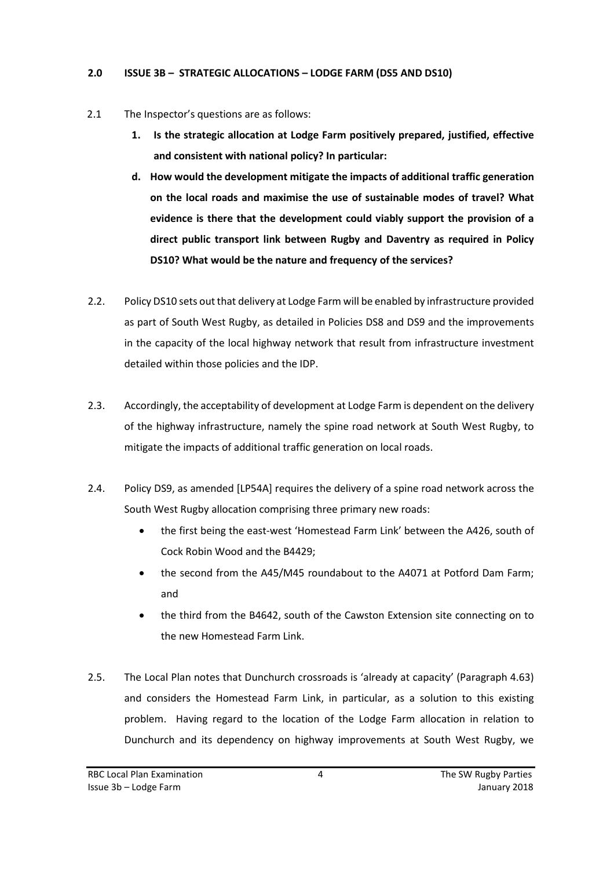## **2.0 ISSUE 3B – STRATEGIC ALLOCATIONS – LODGE FARM (DS5 AND DS10)**

- 2.1 The Inspector's questions are as follows:
	- **1. Is the strategic allocation at Lodge Farm positively prepared, justified, effective and consistent with national policy? In particular:**
	- **d. How would the development mitigate the impacts of additional traffic generation on the local roads and maximise the use of sustainable modes of travel? What evidence is there that the development could viably support the provision of a direct public transport link between Rugby and Daventry as required in Policy DS10? What would be the nature and frequency of the services?**
- 2.2. Policy DS10 sets out that delivery at Lodge Farm will be enabled by infrastructure provided as part of South West Rugby, as detailed in Policies DS8 and DS9 and the improvements in the capacity of the local highway network that result from infrastructure investment detailed within those policies and the IDP.
- 2.3. Accordingly, the acceptability of development at Lodge Farm is dependent on the delivery of the highway infrastructure, namely the spine road network at South West Rugby, to mitigate the impacts of additional traffic generation on local roads.
- 2.4. Policy DS9, as amended [LP54A] requires the delivery of a spine road network across the South West Rugby allocation comprising three primary new roads:
	- the first being the east-west 'Homestead Farm Link' between the A426, south of Cock Robin Wood and the B4429;
	- the second from the A45/M45 roundabout to the A4071 at Potford Dam Farm; and
	- the third from the B4642, south of the Cawston Extension site connecting on to the new Homestead Farm Link.
- 2.5. The Local Plan notes that Dunchurch crossroads is 'already at capacity' (Paragraph 4.63) and considers the Homestead Farm Link, in particular, as a solution to this existing problem. Having regard to the location of the Lodge Farm allocation in relation to Dunchurch and its dependency on highway improvements at South West Rugby, we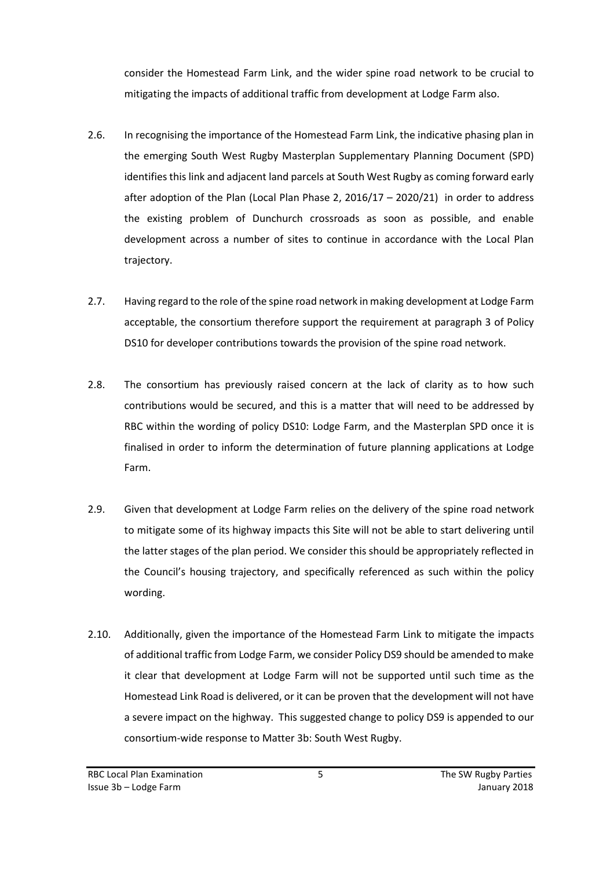consider the Homestead Farm Link, and the wider spine road network to be crucial to mitigating the impacts of additional traffic from development at Lodge Farm also.

- 2.6. In recognising the importance of the Homestead Farm Link, the indicative phasing plan in the emerging South West Rugby Masterplan Supplementary Planning Document (SPD) identifies this link and adjacent land parcels at South West Rugby as coming forward early after adoption of the Plan (Local Plan Phase 2, 2016/17 – 2020/21) in order to address the existing problem of Dunchurch crossroads as soon as possible, and enable development across a number of sites to continue in accordance with the Local Plan trajectory.
- 2.7. Having regard to the role of the spine road network in making development at Lodge Farm acceptable, the consortium therefore support the requirement at paragraph 3 of Policy DS10 for developer contributions towards the provision of the spine road network.
- 2.8. The consortium has previously raised concern at the lack of clarity as to how such contributions would be secured, and this is a matter that will need to be addressed by RBC within the wording of policy DS10: Lodge Farm, and the Masterplan SPD once it is finalised in order to inform the determination of future planning applications at Lodge Farm.
- 2.9. Given that development at Lodge Farm relies on the delivery of the spine road network to mitigate some of its highway impacts this Site will not be able to start delivering until the latter stages of the plan period. We consider this should be appropriately reflected in the Council's housing trajectory, and specifically referenced as such within the policy wording.
- 2.10. Additionally, given the importance of the Homestead Farm Link to mitigate the impacts of additional traffic from Lodge Farm, we consider Policy DS9 should be amended to make it clear that development at Lodge Farm will not be supported until such time as the Homestead Link Road is delivered, or it can be proven that the development will not have a severe impact on the highway. This suggested change to policy DS9 is appended to our consortium-wide response to Matter 3b: South West Rugby.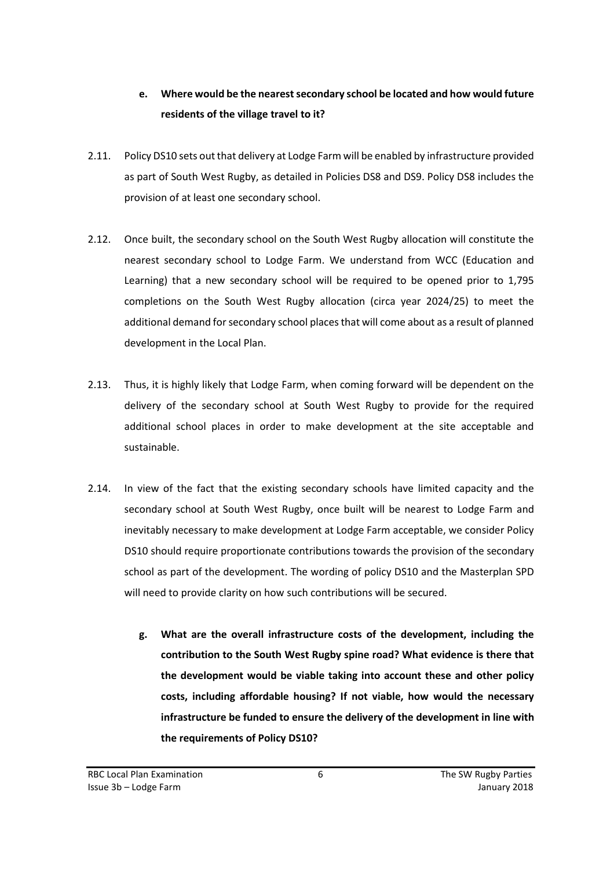## **e. Where would be the nearest secondary school be located and how would future residents of the village travel to it?**

- 2.11. Policy DS10 sets out that delivery at Lodge Farm will be enabled by infrastructure provided as part of South West Rugby, as detailed in Policies DS8 and DS9. Policy DS8 includes the provision of at least one secondary school.
- 2.12. Once built, the secondary school on the South West Rugby allocation will constitute the nearest secondary school to Lodge Farm. We understand from WCC (Education and Learning) that a new secondary school will be required to be opened prior to 1,795 completions on the South West Rugby allocation (circa year 2024/25) to meet the additional demand for secondary school places that will come about as a result of planned development in the Local Plan.
- 2.13. Thus, it is highly likely that Lodge Farm, when coming forward will be dependent on the delivery of the secondary school at South West Rugby to provide for the required additional school places in order to make development at the site acceptable and sustainable.
- 2.14. In view of the fact that the existing secondary schools have limited capacity and the secondary school at South West Rugby, once built will be nearest to Lodge Farm and inevitably necessary to make development at Lodge Farm acceptable, we consider Policy DS10 should require proportionate contributions towards the provision of the secondary school as part of the development. The wording of policy DS10 and the Masterplan SPD will need to provide clarity on how such contributions will be secured.
	- **g. What are the overall infrastructure costs of the development, including the contribution to the South West Rugby spine road? What evidence is there that the development would be viable taking into account these and other policy costs, including affordable housing? If not viable, how would the necessary infrastructure be funded to ensure the delivery of the development in line with the requirements of Policy DS10?**